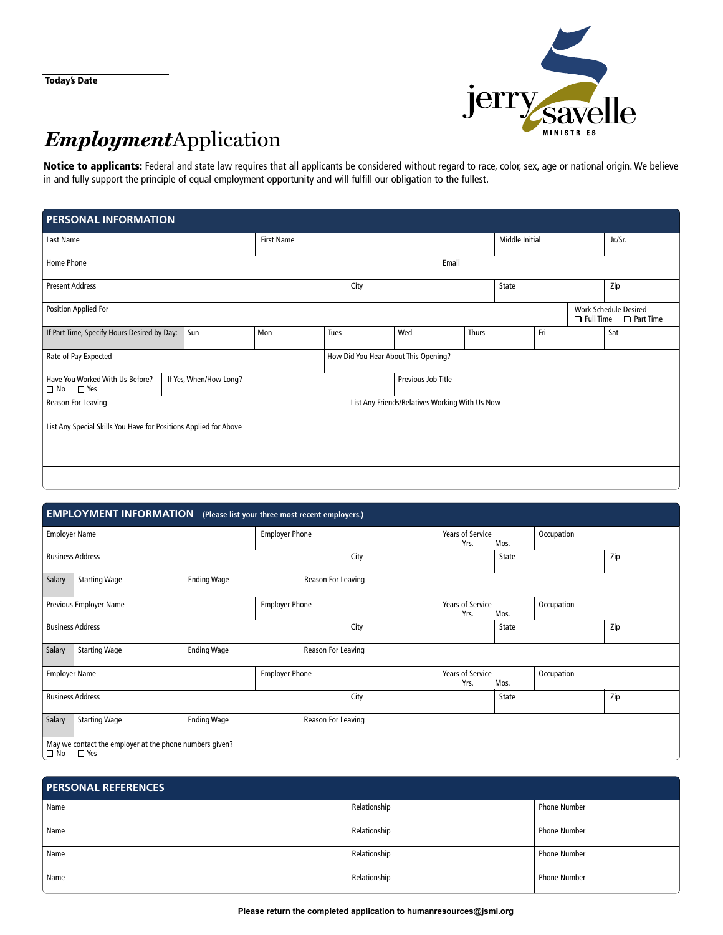Today's Date



# *Employment* Application

Notice to applicants: Federal and state law requires that all applicants be considered without regard to race, color, sex, age or national origin. We believe in and fully support the principle of equal employment opportunity and will fulfill our obligation to the fullest.

| <b>PERSONAL INFORMATION</b>                                                       |  |     |                   |                    |                                                |                |              |  |         |                                                                   |     |  |
|-----------------------------------------------------------------------------------|--|-----|-------------------|--------------------|------------------------------------------------|----------------|--------------|--|---------|-------------------------------------------------------------------|-----|--|
| Last Name                                                                         |  |     | <b>First Name</b> |                    |                                                | Middle Initial |              |  | Jr./Sr. |                                                                   |     |  |
| Home Phone                                                                        |  |     |                   |                    |                                                |                | Email        |  |         |                                                                   |     |  |
| <b>Present Address</b>                                                            |  |     |                   | City               |                                                |                | State        |  | Zip     |                                                                   |     |  |
| <b>Position Applied For</b>                                                       |  |     |                   |                    |                                                |                |              |  |         | <b>Work Schedule Desired</b><br>$\Box$ Full Time $\Box$ Part Time |     |  |
| If Part Time, Specify Hours Desired by Day:                                       |  | Sun | Mon               | Tues               |                                                | Wed            | Fri<br>Thurs |  |         |                                                                   | Sat |  |
| Rate of Pay Expected                                                              |  |     |                   |                    | How Did You Hear About This Opening?           |                |              |  |         |                                                                   |     |  |
| Have You Worked With Us Before?<br>If Yes, When/How Long?<br>$\Box$ No $\Box$ Yes |  |     |                   | Previous Job Title |                                                |                |              |  |         |                                                                   |     |  |
| Reason For Leaving                                                                |  |     |                   |                    | List Any Friends/Relatives Working With Us Now |                |              |  |         |                                                                   |     |  |
| List Any Special Skills You Have for Positions Applied for Above                  |  |     |                   |                    |                                                |                |              |  |         |                                                                   |     |  |
|                                                                                   |  |     |                   |                    |                                                |                |              |  |         |                                                                   |     |  |
|                                                                                   |  |     |                   |                    |                                                |                |              |  |         |                                                                   |     |  |

| <b>EMPLOYMENT INFORMATION</b> (Please list your three most recent employers.) |                                                                       |                    |                                 |                    |                                 |                                         |                    |            |  |
|-------------------------------------------------------------------------------|-----------------------------------------------------------------------|--------------------|---------------------------------|--------------------|---------------------------------|-----------------------------------------|--------------------|------------|--|
| <b>Employer Name</b>                                                          |                                                                       |                    | <b>Employer Phone</b>           |                    |                                 | <b>Years of Service</b><br>Yrs.<br>Mos. |                    | Occupation |  |
| <b>Business Address</b>                                                       |                                                                       |                    |                                 | City               |                                 | State                                   |                    | Zip        |  |
| Salary                                                                        | <b>Starting Wage</b>                                                  | <b>Ending Wage</b> |                                 |                    | Reason For Leaving              |                                         |                    |            |  |
|                                                                               | <b>Employer Phone</b><br>Previous Employer Name                       |                    |                                 |                    | <b>Years of Service</b><br>Yrs. |                                         | Occupation<br>Mos. |            |  |
| <b>Business Address</b>                                                       |                                                                       |                    |                                 | City               |                                 | State                                   |                    | Zip        |  |
| Salary                                                                        | <b>Starting Wage</b>                                                  | <b>Ending Wage</b> |                                 | Reason For Leaving |                                 |                                         |                    |            |  |
| <b>Employer Phone</b><br><b>Employer Name</b>                                 |                                                                       |                    | <b>Years of Service</b><br>Yrs. |                    | Occupation<br>Mos.              |                                         |                    |            |  |
| <b>Business Address</b>                                                       |                                                                       |                    |                                 | City               |                                 | State                                   |                    | Zip        |  |
| Salary                                                                        | <b>Starting Wage</b>                                                  | <b>Ending Wage</b> |                                 |                    | Reason For Leaving              |                                         |                    |            |  |
| $\Box$ No                                                                     | May we contact the employer at the phone numbers given?<br>$\Box$ Yes |                    |                                 |                    |                                 |                                         |                    |            |  |

| <b>PERSONAL REFERENCES</b> |              |                     |  |  |  |  |  |
|----------------------------|--------------|---------------------|--|--|--|--|--|
| Name                       | Relationship | <b>Phone Number</b> |  |  |  |  |  |
| Name                       | Relationship | <b>Phone Number</b> |  |  |  |  |  |
| Name                       | Relationship | <b>Phone Number</b> |  |  |  |  |  |
| Name                       | Relationship | <b>Phone Number</b> |  |  |  |  |  |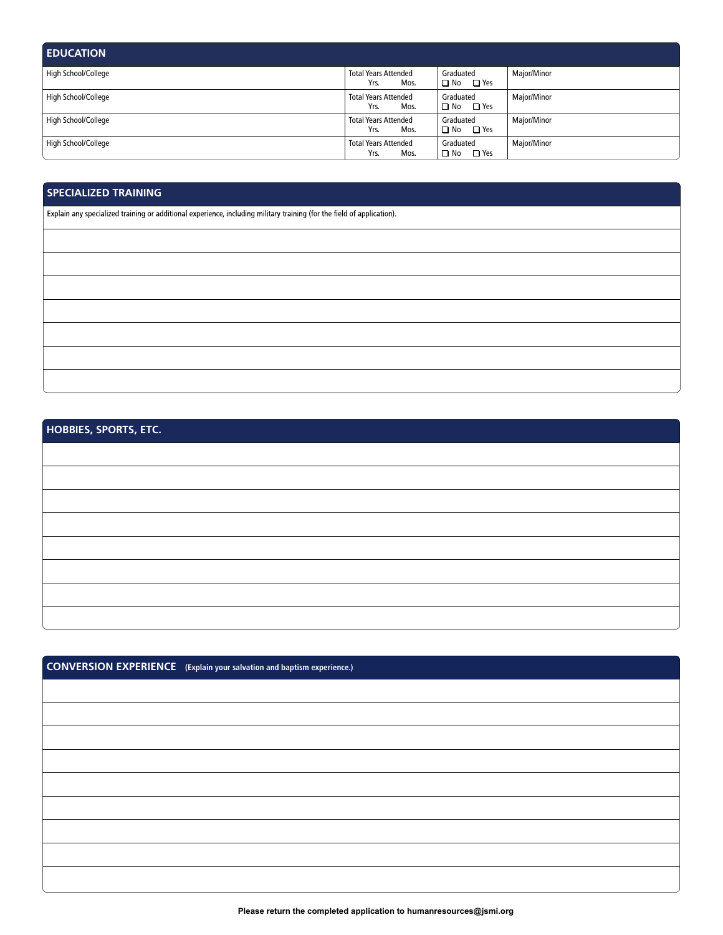| <b>EDUCATION</b>    |                                             |                                   |             |
|---------------------|---------------------------------------------|-----------------------------------|-------------|
| High School/College | <b>Total Years Attended</b><br>Mos.<br>Yrs. | Graduated<br>$\Box$ No $\Box$ Yes | Major/Minor |
| High School/College | <b>Total Years Attended</b><br>Yrs.<br>Mos. | Graduated<br>$\Box$ No $\Box$ Yes | Major/Minor |
| High School/College | <b>Total Years Attended</b><br>Yrs.<br>Mos. | Graduated<br>$\Box$ No $\Box$ Yes | Major/Minor |
| High School/College | <b>Total Years Attended</b><br>Yrs.<br>Mos. | Graduated<br>$\Box$ No $\Box$ Yes | Major/Minor |

## **SPECIALIZED TRAINING**

Explain any specialized training or additional experience, including military training (for the field of application).

| <b>HOBBIES, SPORTS, ETC.</b> |  |
|------------------------------|--|
|                              |  |
|                              |  |
|                              |  |
|                              |  |
|                              |  |
|                              |  |
|                              |  |
|                              |  |

| <b>CONVERSION EXPERIENCE</b> (Explain your salvation and baptism experience.) |
|-------------------------------------------------------------------------------|
|                                                                               |
|                                                                               |
|                                                                               |
|                                                                               |
|                                                                               |
|                                                                               |
|                                                                               |
|                                                                               |
|                                                                               |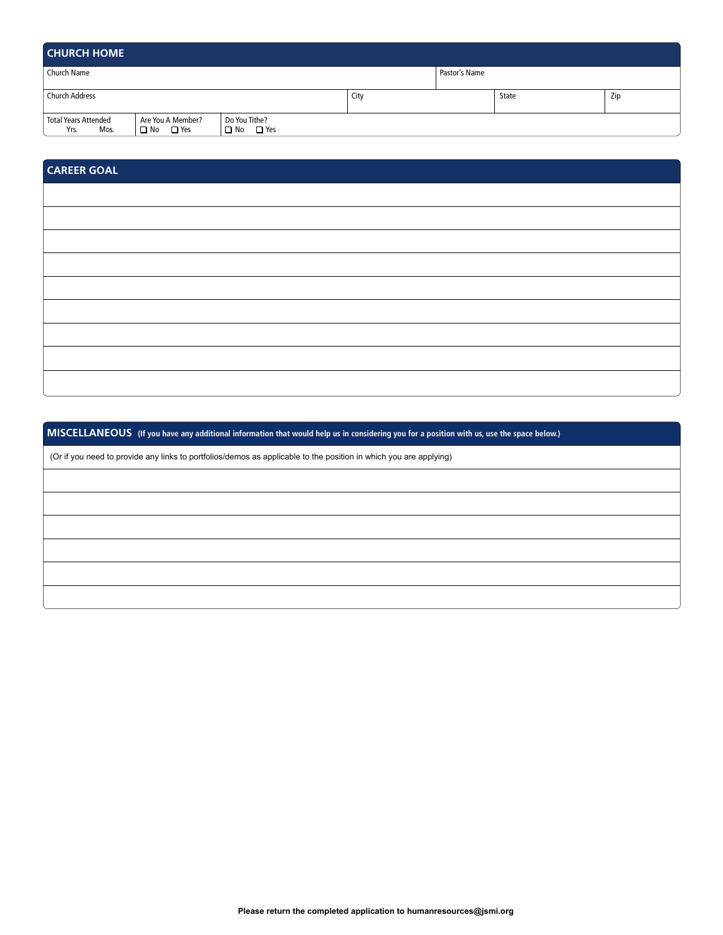| <b>CHURCH HOME</b>                          |                                                 |                                |      |               |       |     |  |  |
|---------------------------------------------|-------------------------------------------------|--------------------------------|------|---------------|-------|-----|--|--|
| Church Name                                 |                                                 |                                |      | Pastor's Name |       |     |  |  |
| <b>Church Address</b>                       |                                                 |                                | City |               | State | Zip |  |  |
| <b>Total Years Attended</b><br>Yrs.<br>Mos. | Are You A Member?<br>$\Box$ Yes<br>$\square$ No | Do You Tithe?<br>□ Yes<br>□ No |      |               |       |     |  |  |

# **CAREER GOAL**

**MISCELLANEOUS (If you have any additional information that would help us in considering you for a position with us, use the space below.)**

(Or if you need to provide any links to portfolios/demos as applicable to the position in which you are applying)